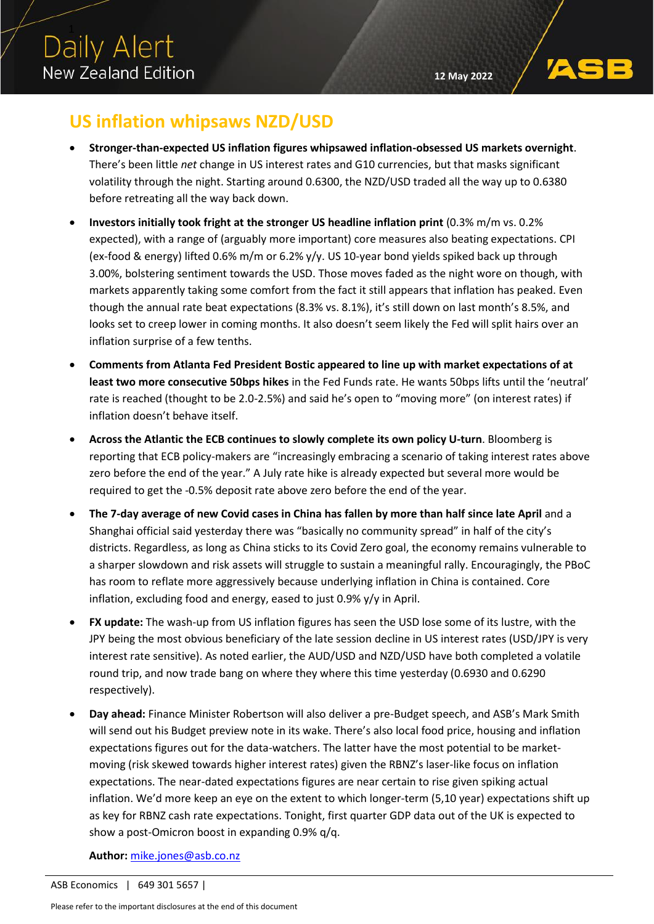## **US inflation whipsaws NZD/USD**

- **Stronger-than-expected US inflation figures whipsawed inflation-obsessed US markets overnight**. There's been little *net* change in US interest rates and G10 currencies, but that masks significant volatility through the night. Starting around 0.6300, the NZD/USD traded all the way up to 0.6380 before retreating all the way back down.
- **Investors initially took fright at the stronger US headline inflation print** (0.3% m/m vs. 0.2% expected), with a range of (arguably more important) core measures also beating expectations. CPI (ex-food & energy) lifted 0.6% m/m or 6.2% y/y. US 10-year bond yields spiked back up through 3.00%, bolstering sentiment towards the USD. Those moves faded as the night wore on though, with markets apparently taking some comfort from the fact it still appears that inflation has peaked. Even though the annual rate beat expectations (8.3% vs. 8.1%), it's still down on last month's 8.5%, and looks set to creep lower in coming months. It also doesn't seem likely the Fed will split hairs over an inflation surprise of a few tenths.
- **Comments from Atlanta Fed President Bostic appeared to line up with market expectations of at least two more consecutive 50bps hikes** in the Fed Funds rate. He wants 50bps lifts until the 'neutral' rate is reached (thought to be 2.0-2.5%) and said he's open to "moving more" (on interest rates) if inflation doesn't behave itself.
- **Across the Atlantic the ECB continues to slowly complete its own policy U-turn**. Bloomberg is reporting that ECB policy-makers are "increasingly embracing a scenario of taking interest rates above zero before the end of the year." A July rate hike is already expected but several more would be required to get the -0.5% deposit rate above zero before the end of the year.
- **The 7-day average of new Covid cases in China has fallen by more than half since late April** and a Shanghai official said yesterday there was "basically no community spread" in half of the city's districts. Regardless, as long as China sticks to its Covid Zero goal, the economy remains vulnerable to a sharper slowdown and risk assets will struggle to sustain a meaningful rally. Encouragingly, the PBoC has room to reflate more aggressively because underlying inflation in China is contained. Core inflation, excluding food and energy, eased to just 0.9% y/y in April.
- **FX update:** The wash-up from US inflation figures has seen the USD lose some of its lustre, with the JPY being the most obvious beneficiary of the late session decline in US interest rates (USD/JPY is very interest rate sensitive). As noted earlier, the AUD/USD and NZD/USD have both completed a volatile round trip, and now trade bang on where they where this time yesterday (0.6930 and 0.6290 respectively).
- **Day ahead:** Finance Minister Robertson will also deliver a pre-Budget speech, and ASB's Mark Smith will send out his Budget preview note in its wake. There's also local food price, housing and inflation expectations figures out for the data-watchers. The latter have the most potential to be marketmoving (risk skewed towards higher interest rates) given the RBNZ's laser-like focus on inflation expectations. The near-dated expectations figures are near certain to rise given spiking actual inflation. We'd more keep an eye on the extent to which longer-term (5,10 year) expectations shift up as key for RBNZ cash rate expectations. Tonight, first quarter GDP data out of the UK is expected to show a post-Omicron boost in expanding 0.9% q/q.

**Author:** [mike.jones@asb.co.nz](mailto:mike.jones@asb.co.nz)